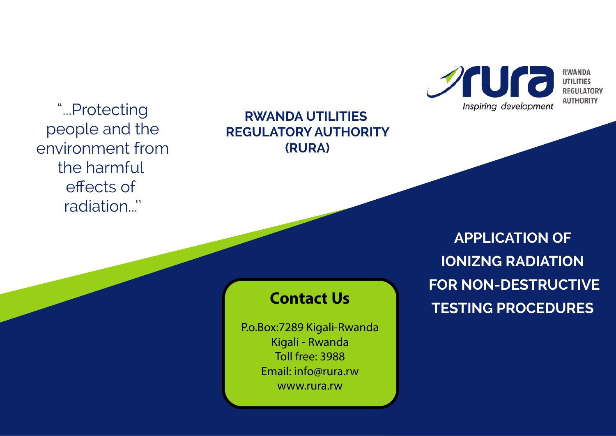**Sura** Inspiring development

**RWANDA UTILITIES REGULATORY AUTHORITY** 

"...Protecting people and the environment from the harmful effects of radiation...''

## **RWANDA UTILITIES REGULATORY AUTHORITY (RURA)**

**APPLICATION OF IONIZNG RADIATION FOR NON-DESTRUCTIVE TESTING PROCEDURES** 

# **Contact Us**

P.o.Box:7289 Kigali-Rwanda Kigali - Rwanda Toll free: 3988 Email: info@rura.rw www.rura.rw